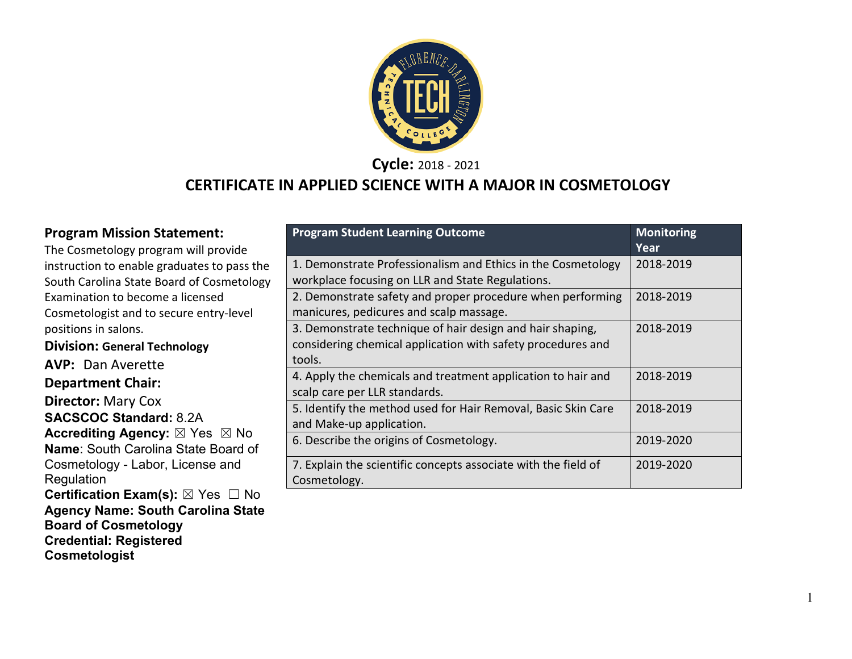

**Cycle:** 2018 - 2021

#### **CERTIFICATE IN APPLIED SCIENCE WITH A MAJOR IN COSMETOLOGY**

#### **Program Mission Statement:**

The Cosmetology program will provide instruction to enable graduates to pass the South Carolina State Board of Cosmetology Examination to become a licensed Cosmetologist and to secure entry-level positions in salons.

**Division: General Technology AVP:** Dan Averette **Department Chair: Director:** Mary Cox **SACSCOC Standard:** 8.2A **Accrediting Agency:** ⊠ Yes ⊠ No **Name**: South Carolina State Board of Cosmetology - Labor, License and Regulation

**Certification Exam(s): ⊠ Yes □ No Agency Name: South Carolina State Board of Cosmetology Credential: Registered Cosmetologist**

| <b>Program Student Learning Outcome</b>                                                                                            | <b>Monitoring</b><br>Year |
|------------------------------------------------------------------------------------------------------------------------------------|---------------------------|
| 1. Demonstrate Professionalism and Ethics in the Cosmetology<br>workplace focusing on LLR and State Regulations.                   | 2018-2019                 |
| 2. Demonstrate safety and proper procedure when performing<br>manicures, pedicures and scalp massage.                              | 2018-2019                 |
| 3. Demonstrate technique of hair design and hair shaping,<br>considering chemical application with safety procedures and<br>tools. | 2018-2019                 |
| 4. Apply the chemicals and treatment application to hair and<br>scalp care per LLR standards.                                      | 2018-2019                 |
| 5. Identify the method used for Hair Removal, Basic Skin Care<br>and Make-up application.                                          | 2018-2019                 |
| 6. Describe the origins of Cosmetology.                                                                                            | 2019-2020                 |
| 7. Explain the scientific concepts associate with the field of<br>Cosmetology.                                                     | 2019-2020                 |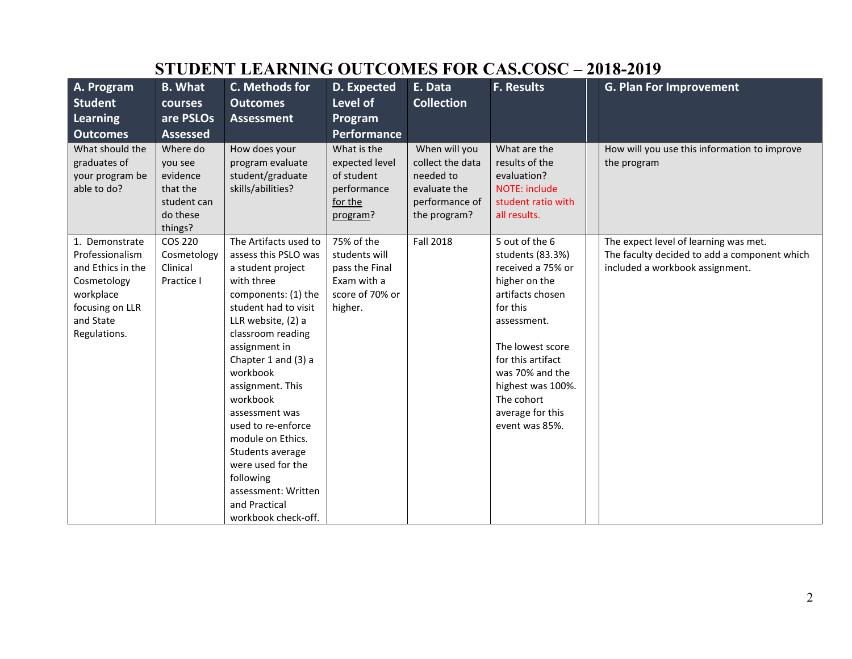| A. Program                                                                                                                         | <b>B.</b> What                                                                    | C. Methods for                                                                                                                                                                                                                                                                                                                                                                                                                                   | D. Expected                                                                                | E. Data                                                                                          | <b>F. Results</b>                                                                                                                                                                                                                                            | <b>G. Plan For Improvement</b>                                                                                           |
|------------------------------------------------------------------------------------------------------------------------------------|-----------------------------------------------------------------------------------|--------------------------------------------------------------------------------------------------------------------------------------------------------------------------------------------------------------------------------------------------------------------------------------------------------------------------------------------------------------------------------------------------------------------------------------------------|--------------------------------------------------------------------------------------------|--------------------------------------------------------------------------------------------------|--------------------------------------------------------------------------------------------------------------------------------------------------------------------------------------------------------------------------------------------------------------|--------------------------------------------------------------------------------------------------------------------------|
| <b>Student</b>                                                                                                                     | courses                                                                           | <b>Outcomes</b>                                                                                                                                                                                                                                                                                                                                                                                                                                  | Level of                                                                                   | <b>Collection</b>                                                                                |                                                                                                                                                                                                                                                              |                                                                                                                          |
| <b>Learning</b>                                                                                                                    | are PSLOs                                                                         | <b>Assessment</b>                                                                                                                                                                                                                                                                                                                                                                                                                                | Program                                                                                    |                                                                                                  |                                                                                                                                                                                                                                                              |                                                                                                                          |
| <b>Outcomes</b>                                                                                                                    | <b>Assessed</b>                                                                   |                                                                                                                                                                                                                                                                                                                                                                                                                                                  | Performance                                                                                |                                                                                                  |                                                                                                                                                                                                                                                              |                                                                                                                          |
| What should the<br>graduates of<br>your program be<br>able to do?                                                                  | Where do<br>you see<br>evidence<br>that the<br>student can<br>do these<br>things? | How does your<br>program evaluate<br>student/graduate<br>skills/abilities?                                                                                                                                                                                                                                                                                                                                                                       | What is the<br>expected level<br>of student<br>performance<br>for the<br>program?          | When will you<br>collect the data<br>needed to<br>evaluate the<br>performance of<br>the program? | What are the<br>results of the<br>evaluation?<br>NOTE: include<br>student ratio with<br>all results.                                                                                                                                                         | How will you use this information to improve<br>the program                                                              |
| 1. Demonstrate<br>Professionalism<br>and Ethics in the<br>Cosmetology<br>workplace<br>focusing on LLR<br>and State<br>Regulations. | COS 220<br>Cosmetology<br>Clinical<br>Practice I                                  | The Artifacts used to<br>assess this PSLO was<br>a student project<br>with three<br>components: (1) the<br>student had to visit<br>LLR website, (2) a<br>classroom reading<br>assignment in<br>Chapter 1 and (3) a<br>workbook<br>assignment. This<br>workbook<br>assessment was<br>used to re-enforce<br>module on Ethics.<br>Students average<br>were used for the<br>following<br>assessment: Written<br>and Practical<br>workbook check-off. | 75% of the<br>students will<br>pass the Final<br>Exam with a<br>score of 70% or<br>higher. | <b>Fall 2018</b>                                                                                 | 5 out of the 6<br>students (83.3%)<br>received a 75% or<br>higher on the<br>artifacts chosen<br>for this<br>assessment.<br>The lowest score<br>for this artifact<br>was 70% and the<br>highest was 100%.<br>The cohort<br>average for this<br>event was 85%. | The expect level of learning was met.<br>The faculty decided to add a component which<br>included a workbook assignment. |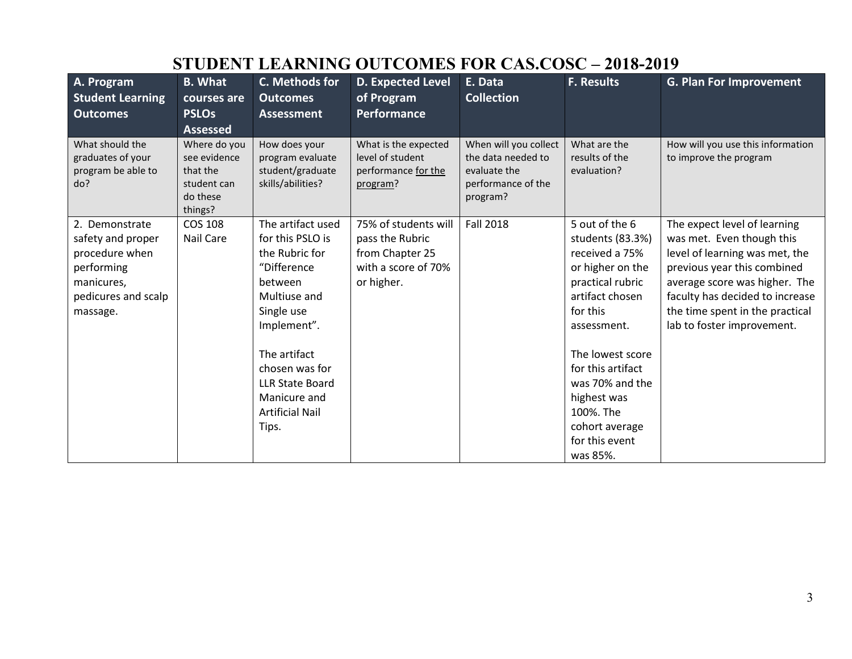| A. Program<br><b>Student Learning</b><br><b>Outcomes</b>                                                             | <b>B.</b> What<br>courses are<br><b>PSLOs</b><br><b>Assessed</b>               | C. Methods for<br><b>Outcomes</b><br><b>Assessment</b>                                                                                                                                                                                        | <b>D. Expected Level</b><br>of Program<br><b>Performance</b>                                    | E. Data<br><b>Collection</b>                                                                  | F. Results                                                                                                                                                                                                                                                                         | <b>G. Plan For Improvement</b>                                                                                                                                                                                                                                  |
|----------------------------------------------------------------------------------------------------------------------|--------------------------------------------------------------------------------|-----------------------------------------------------------------------------------------------------------------------------------------------------------------------------------------------------------------------------------------------|-------------------------------------------------------------------------------------------------|-----------------------------------------------------------------------------------------------|------------------------------------------------------------------------------------------------------------------------------------------------------------------------------------------------------------------------------------------------------------------------------------|-----------------------------------------------------------------------------------------------------------------------------------------------------------------------------------------------------------------------------------------------------------------|
| What should the<br>graduates of your<br>program be able to<br>do?                                                    | Where do you<br>see evidence<br>that the<br>student can<br>do these<br>things? | How does your<br>program evaluate<br>student/graduate<br>skills/abilities?                                                                                                                                                                    | What is the expected<br>level of student<br>performance for the<br>program?                     | When will you collect<br>the data needed to<br>evaluate the<br>performance of the<br>program? | What are the<br>results of the<br>evaluation?                                                                                                                                                                                                                                      | How will you use this information<br>to improve the program                                                                                                                                                                                                     |
| 2. Demonstrate<br>safety and proper<br>procedure when<br>performing<br>manicures,<br>pedicures and scalp<br>massage. | <b>COS 108</b><br>Nail Care                                                    | The artifact used<br>for this PSLO is<br>the Rubric for<br>"Difference<br>between<br>Multiuse and<br>Single use<br>Implement".<br>The artifact<br>chosen was for<br><b>LLR State Board</b><br>Manicure and<br><b>Artificial Nail</b><br>Tips. | 75% of students will<br>pass the Rubric<br>from Chapter 25<br>with a score of 70%<br>or higher. | <b>Fall 2018</b>                                                                              | 5 out of the 6<br>students (83.3%)<br>received a 75%<br>or higher on the<br>practical rubric<br>artifact chosen<br>for this<br>assessment.<br>The lowest score<br>for this artifact<br>was 70% and the<br>highest was<br>100%. The<br>cohort average<br>for this event<br>was 85%. | The expect level of learning<br>was met. Even though this<br>level of learning was met, the<br>previous year this combined<br>average score was higher. The<br>faculty has decided to increase<br>the time spent in the practical<br>lab to foster improvement. |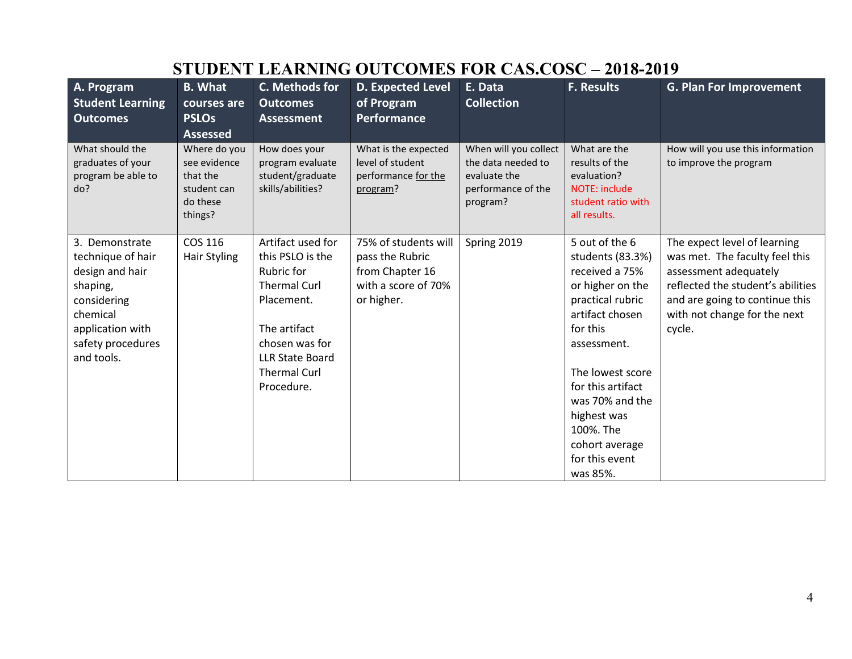| A. Program<br><b>Student Learning</b><br><b>Outcomes</b>                                                                                             | <b>B.</b> What<br>courses are<br><b>PSLOs</b><br><b>Assessed</b>               | C. Methods for<br><b>Outcomes</b><br><b>Assessment</b>                                                                                                                                           | <b>D. Expected Level</b><br>of Program<br>Performance                                           | E. Data<br><b>Collection</b>                                                                  | <b>F. Results</b>                                                                                                                                                                                                                                                                  | <b>G. Plan For Improvement</b>                                                                                                                                                                           |
|------------------------------------------------------------------------------------------------------------------------------------------------------|--------------------------------------------------------------------------------|--------------------------------------------------------------------------------------------------------------------------------------------------------------------------------------------------|-------------------------------------------------------------------------------------------------|-----------------------------------------------------------------------------------------------|------------------------------------------------------------------------------------------------------------------------------------------------------------------------------------------------------------------------------------------------------------------------------------|----------------------------------------------------------------------------------------------------------------------------------------------------------------------------------------------------------|
| What should the<br>graduates of your<br>program be able to<br>do?                                                                                    | Where do you<br>see evidence<br>that the<br>student can<br>do these<br>things? | How does your<br>program evaluate<br>student/graduate<br>skills/abilities?                                                                                                                       | What is the expected<br>level of student<br>performance for the<br>program?                     | When will you collect<br>the data needed to<br>evaluate the<br>performance of the<br>program? | What are the<br>results of the<br>evaluation?<br>NOTE: include<br>student ratio with<br>all results.                                                                                                                                                                               | How will you use this information<br>to improve the program                                                                                                                                              |
| 3. Demonstrate<br>technique of hair<br>design and hair<br>shaping,<br>considering<br>chemical<br>application with<br>safety procedures<br>and tools. | COS 116<br><b>Hair Styling</b>                                                 | Artifact used for<br>this PSLO is the<br><b>Rubric for</b><br><b>Thermal Curl</b><br>Placement.<br>The artifact<br>chosen was for<br><b>LLR State Board</b><br><b>Thermal Curl</b><br>Procedure. | 75% of students will<br>pass the Rubric<br>from Chapter 16<br>with a score of 70%<br>or higher. | Spring 2019                                                                                   | 5 out of the 6<br>students (83.3%)<br>received a 75%<br>or higher on the<br>practical rubric<br>artifact chosen<br>for this<br>assessment.<br>The lowest score<br>for this artifact<br>was 70% and the<br>highest was<br>100%. The<br>cohort average<br>for this event<br>was 85%. | The expect level of learning<br>was met. The faculty feel this<br>assessment adequately<br>reflected the student's abilities<br>and are going to continue this<br>with not change for the next<br>cycle. |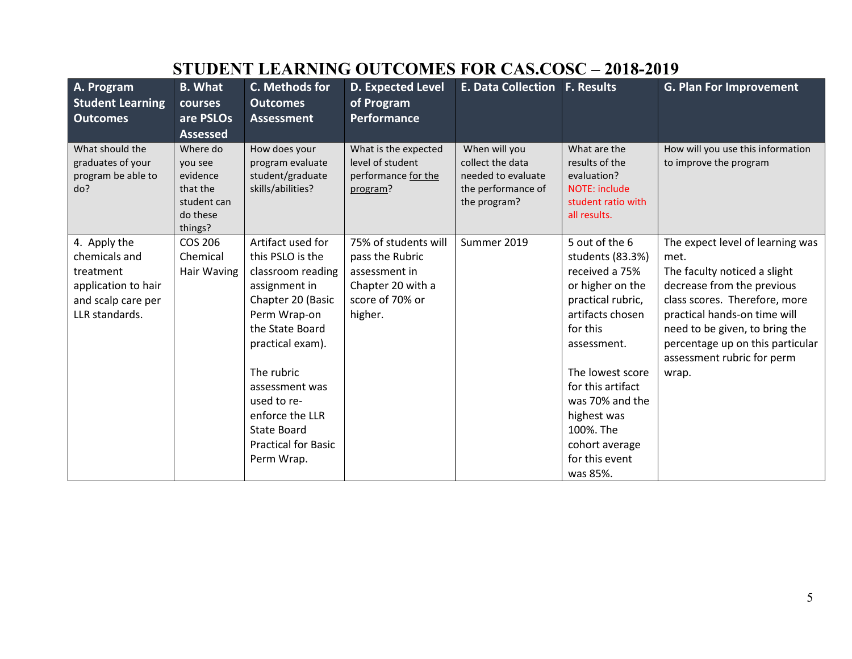| A. Program<br><b>Student Learning</b><br><b>Outcomes</b>                                                  | <b>B.</b> What<br>courses<br>are PSLOs<br><b>Assessed</b>                         | C. Methods for<br><b>Outcomes</b><br><b>Assessment</b>                                                                                                                                                                                                                                      | <b>D. Expected Level</b><br>of Program<br><b>Performance</b>                                                | <b>E. Data Collection F. Results</b>                                                          |                                                                                                                                                                                                                                                                                      | <b>G. Plan For Improvement</b>                                                                                                                                                                                                                                                       |
|-----------------------------------------------------------------------------------------------------------|-----------------------------------------------------------------------------------|---------------------------------------------------------------------------------------------------------------------------------------------------------------------------------------------------------------------------------------------------------------------------------------------|-------------------------------------------------------------------------------------------------------------|-----------------------------------------------------------------------------------------------|--------------------------------------------------------------------------------------------------------------------------------------------------------------------------------------------------------------------------------------------------------------------------------------|--------------------------------------------------------------------------------------------------------------------------------------------------------------------------------------------------------------------------------------------------------------------------------------|
| What should the<br>graduates of your<br>program be able to<br>do?                                         | Where do<br>you see<br>evidence<br>that the<br>student can<br>do these<br>things? | How does your<br>program evaluate<br>student/graduate<br>skills/abilities?                                                                                                                                                                                                                  | What is the expected<br>level of student<br>performance for the<br>program?                                 | When will you<br>collect the data<br>needed to evaluate<br>the performance of<br>the program? | What are the<br>results of the<br>evaluation?<br><b>NOTE: include</b><br>student ratio with<br>all results.                                                                                                                                                                          | How will you use this information<br>to improve the program                                                                                                                                                                                                                          |
| 4. Apply the<br>chemicals and<br>treatment<br>application to hair<br>and scalp care per<br>LLR standards. | <b>COS 206</b><br>Chemical<br>Hair Waving                                         | Artifact used for<br>this PSLO is the<br>classroom reading<br>assignment in<br>Chapter 20 (Basic<br>Perm Wrap-on<br>the State Board<br>practical exam).<br>The rubric<br>assessment was<br>used to re-<br>enforce the LLR<br><b>State Board</b><br><b>Practical for Basic</b><br>Perm Wrap. | 75% of students will<br>pass the Rubric<br>assessment in<br>Chapter 20 with a<br>score of 70% or<br>higher. | Summer 2019                                                                                   | 5 out of the 6<br>students (83.3%)<br>received a 75%<br>or higher on the<br>practical rubric,<br>artifacts chosen<br>for this<br>assessment.<br>The lowest score<br>for this artifact<br>was 70% and the<br>highest was<br>100%. The<br>cohort average<br>for this event<br>was 85%. | The expect level of learning was<br>met.<br>The faculty noticed a slight<br>decrease from the previous<br>class scores. Therefore, more<br>practical hands-on time will<br>need to be given, to bring the<br>percentage up on this particular<br>assessment rubric for perm<br>wrap. |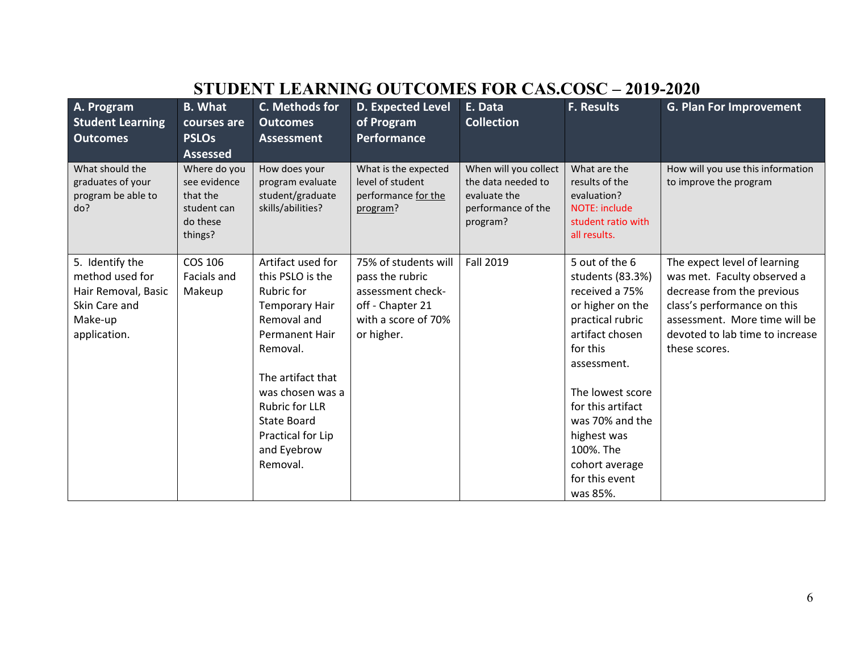| A. Program<br><b>Student Learning</b><br><b>Outcomes</b>                                              | <b>B.</b> What<br>courses are<br><b>PSLOs</b><br><b>Assessed</b>               | C. Methods for<br><b>Outcomes</b><br><b>Assessment</b>                                                                                                                                                                                                     | D. Expected Level<br>of Program<br>Performance                                                                        | E. Data<br><b>Collection</b>                                                                  | <b>F. Results</b>                                                                                                                                                                                                                                                                  | <b>G. Plan For Improvement</b>                                                                                                                                                                                |
|-------------------------------------------------------------------------------------------------------|--------------------------------------------------------------------------------|------------------------------------------------------------------------------------------------------------------------------------------------------------------------------------------------------------------------------------------------------------|-----------------------------------------------------------------------------------------------------------------------|-----------------------------------------------------------------------------------------------|------------------------------------------------------------------------------------------------------------------------------------------------------------------------------------------------------------------------------------------------------------------------------------|---------------------------------------------------------------------------------------------------------------------------------------------------------------------------------------------------------------|
| What should the<br>graduates of your<br>program be able to<br>do?                                     | Where do you<br>see evidence<br>that the<br>student can<br>do these<br>things? | How does your<br>program evaluate<br>student/graduate<br>skills/abilities?                                                                                                                                                                                 | What is the expected<br>level of student<br>performance for the<br>program?                                           | When will you collect<br>the data needed to<br>evaluate the<br>performance of the<br>program? | What are the<br>results of the<br>evaluation?<br>NOTE: include<br>student ratio with<br>all results.                                                                                                                                                                               | How will you use this information<br>to improve the program                                                                                                                                                   |
| 5. Identify the<br>method used for<br>Hair Removal, Basic<br>Skin Care and<br>Make-up<br>application. | COS 106<br>Facials and<br>Makeup                                               | Artifact used for<br>this PSLO is the<br>Rubric for<br>Temporary Hair<br>Removal and<br>Permanent Hair<br>Removal.<br>The artifact that<br>was chosen was a<br><b>Rubric for LLR</b><br><b>State Board</b><br>Practical for Lip<br>and Eyebrow<br>Removal. | 75% of students will<br>pass the rubric<br>assessment check-<br>off - Chapter 21<br>with a score of 70%<br>or higher. | <b>Fall 2019</b>                                                                              | 5 out of the 6<br>students (83.3%)<br>received a 75%<br>or higher on the<br>practical rubric<br>artifact chosen<br>for this<br>assessment.<br>The lowest score<br>for this artifact<br>was 70% and the<br>highest was<br>100%. The<br>cohort average<br>for this event<br>was 85%. | The expect level of learning<br>was met. Faculty observed a<br>decrease from the previous<br>class's performance on this<br>assessment. More time will be<br>devoted to lab time to increase<br>these scores. |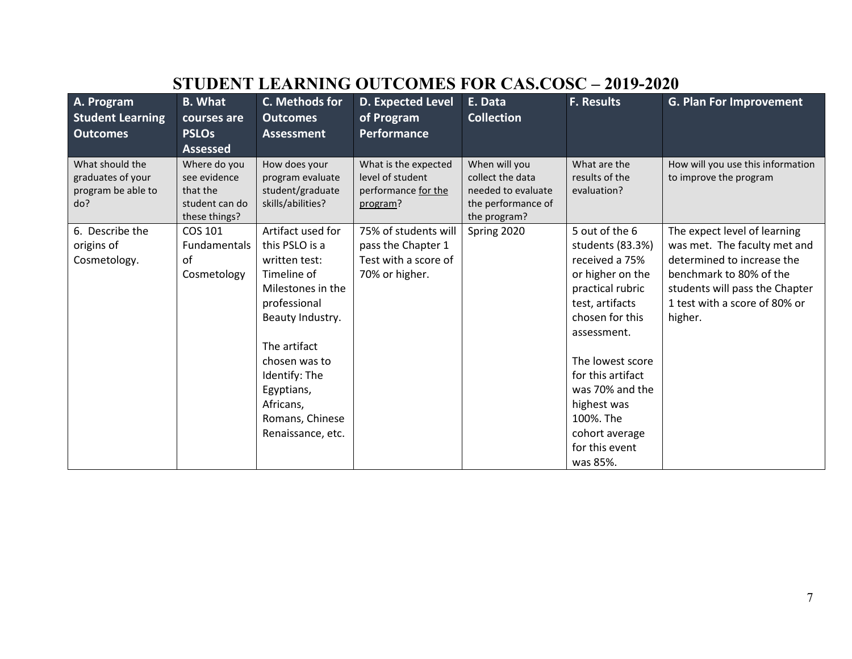| <b>B.</b> What  | C. Methods for    | <b>D. Expected Level</b>                                                                    | E. Data              | <b>F. Results</b>                                                      | <b>G. Plan For Improvement</b>                     |
|-----------------|-------------------|---------------------------------------------------------------------------------------------|----------------------|------------------------------------------------------------------------|----------------------------------------------------|
| courses are     | <b>Outcomes</b>   | of Program                                                                                  |                      |                                                                        |                                                    |
| <b>PSLOs</b>    | <b>Assessment</b> | Performance                                                                                 |                      |                                                                        |                                                    |
| <b>Assessed</b> |                   |                                                                                             |                      |                                                                        |                                                    |
| Where do you    | How does your     | What is the expected                                                                        | When will you        | What are the                                                           | How will you use this information                  |
| see evidence    | program evaluate  | level of student                                                                            | collect the data     | results of the                                                         | to improve the program                             |
| that the        |                   | performance for the                                                                         | needed to evaluate   | evaluation?                                                            |                                                    |
| student can do  |                   | program?                                                                                    |                      |                                                                        |                                                    |
|                 |                   |                                                                                             |                      |                                                                        |                                                    |
| COS 101         | Artifact used for |                                                                                             |                      |                                                                        | The expect level of learning                       |
| Fundamentals    | this PSLO is a    | pass the Chapter 1                                                                          |                      | students (83.3%)                                                       | was met. The faculty met and                       |
| of              | written test:     | Test with a score of                                                                        |                      | received a 75%                                                         | determined to increase the                         |
| Cosmetology     | Timeline of       | 70% or higher.                                                                              |                      | or higher on the                                                       | benchmark to 80% of the                            |
|                 | Milestones in the |                                                                                             |                      | practical rubric                                                       | students will pass the Chapter                     |
|                 | professional      |                                                                                             |                      | test, artifacts                                                        | 1 test with a score of 80% or                      |
|                 | Beauty Industry.  |                                                                                             |                      | chosen for this                                                        | higher.                                            |
|                 |                   |                                                                                             |                      | assessment.                                                            |                                                    |
|                 | The artifact      |                                                                                             |                      |                                                                        |                                                    |
|                 | chosen was to     |                                                                                             |                      | The lowest score                                                       |                                                    |
|                 | Identify: The     |                                                                                             |                      | for this artifact                                                      |                                                    |
|                 |                   |                                                                                             |                      | was 70% and the                                                        |                                                    |
|                 | Africans,         |                                                                                             |                      | highest was                                                            |                                                    |
|                 |                   |                                                                                             |                      | 100%. The                                                              |                                                    |
|                 |                   |                                                                                             |                      |                                                                        |                                                    |
|                 |                   |                                                                                             |                      |                                                                        |                                                    |
|                 |                   |                                                                                             |                      | was 85%.                                                               |                                                    |
|                 | these things?     | student/graduate<br>skills/abilities?<br>Egyptians,<br>Romans, Chinese<br>Renaissance, etc. | 75% of students will | <b>Collection</b><br>the performance of<br>the program?<br>Spring 2020 | 5 out of the 6<br>cohort average<br>for this event |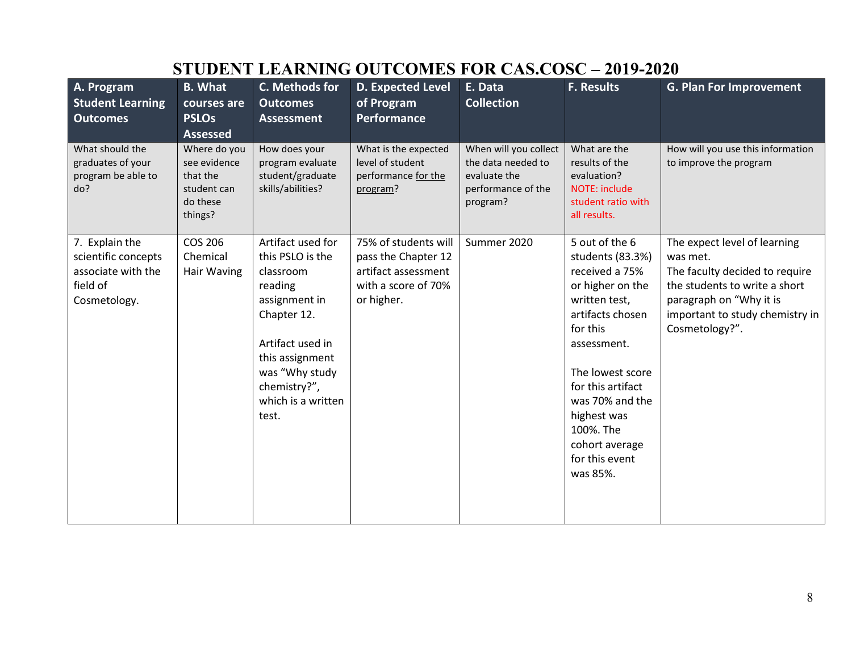| A. Program<br><b>Student Learning</b><br><b>Outcomes</b>                                | <b>B.</b> What<br>courses are<br><b>PSLOs</b><br><b>Assessed</b>               | C. Methods for<br><b>Outcomes</b><br><b>Assessment</b>                                                                                                                                                | <b>D. Expected Level</b><br>of Program<br>Performance                                                   | E. Data<br><b>Collection</b>                                                                  | <b>F. Results</b>                                                                                                                                                                                                                                                                | <b>G. Plan For Improvement</b>                                                                                                                                                              |
|-----------------------------------------------------------------------------------------|--------------------------------------------------------------------------------|-------------------------------------------------------------------------------------------------------------------------------------------------------------------------------------------------------|---------------------------------------------------------------------------------------------------------|-----------------------------------------------------------------------------------------------|----------------------------------------------------------------------------------------------------------------------------------------------------------------------------------------------------------------------------------------------------------------------------------|---------------------------------------------------------------------------------------------------------------------------------------------------------------------------------------------|
| What should the<br>graduates of your<br>program be able to<br>do?                       | Where do you<br>see evidence<br>that the<br>student can<br>do these<br>things? | How does your<br>program evaluate<br>student/graduate<br>skills/abilities?                                                                                                                            | What is the expected<br>level of student<br>performance for the<br>program?                             | When will you collect<br>the data needed to<br>evaluate the<br>performance of the<br>program? | What are the<br>results of the<br>evaluation?<br>NOTE: include<br>student ratio with<br>all results.                                                                                                                                                                             | How will you use this information<br>to improve the program                                                                                                                                 |
| 7. Explain the<br>scientific concepts<br>associate with the<br>field of<br>Cosmetology. | COS 206<br>Chemical<br>Hair Waving                                             | Artifact used for<br>this PSLO is the<br>classroom<br>reading<br>assignment in<br>Chapter 12.<br>Artifact used in<br>this assignment<br>was "Why study<br>chemistry?",<br>which is a written<br>test. | 75% of students will<br>pass the Chapter 12<br>artifact assessment<br>with a score of 70%<br>or higher. | Summer 2020                                                                                   | 5 out of the 6<br>students (83.3%)<br>received a 75%<br>or higher on the<br>written test,<br>artifacts chosen<br>for this<br>assessment.<br>The lowest score<br>for this artifact<br>was 70% and the<br>highest was<br>100%. The<br>cohort average<br>for this event<br>was 85%. | The expect level of learning<br>was met.<br>The faculty decided to require<br>the students to write a short<br>paragraph on "Why it is<br>important to study chemistry in<br>Cosmetology?". |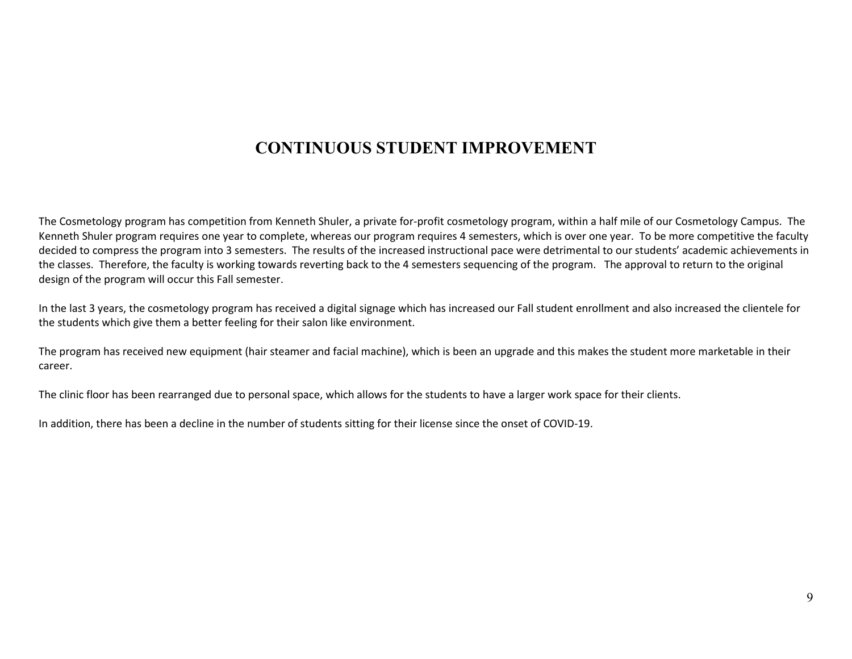#### **CONTINUOUS STUDENT IMPROVEMENT**

The Cosmetology program has competition from Kenneth Shuler, a private for-profit cosmetology program, within a half mile of our Cosmetology Campus. The Kenneth Shuler program requires one year to complete, whereas our program requires 4 semesters, which is over one year. To be more competitive the faculty decided to compress the program into 3 semesters. The results of the increased instructional pace were detrimental to our students' academic achievements in the classes. Therefore, the faculty is working towards reverting back to the 4 semesters sequencing of the program. The approval to return to the original design of the program will occur this Fall semester.

In the last 3 years, the cosmetology program has received a digital signage which has increased our Fall student enrollment and also increased the clientele for the students which give them a better feeling for their salon like environment.

The program has received new equipment (hair steamer and facial machine), which is been an upgrade and this makes the student more marketable in their career.

The clinic floor has been rearranged due to personal space, which allows for the students to have a larger work space for their clients.

In addition, there has been a decline in the number of students sitting for their license since the onset of COVID-19.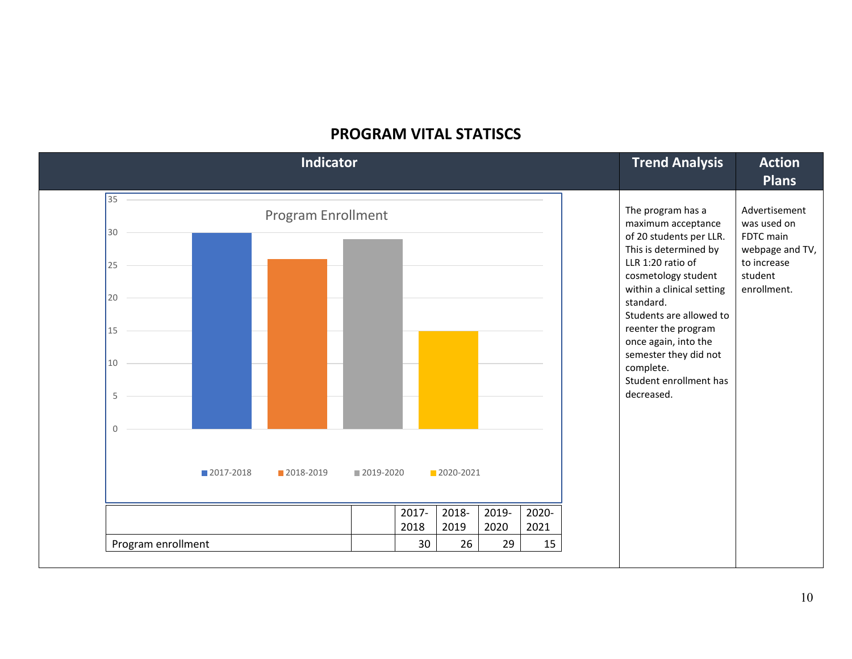#### **PROGRAM VITAL STATISCS**

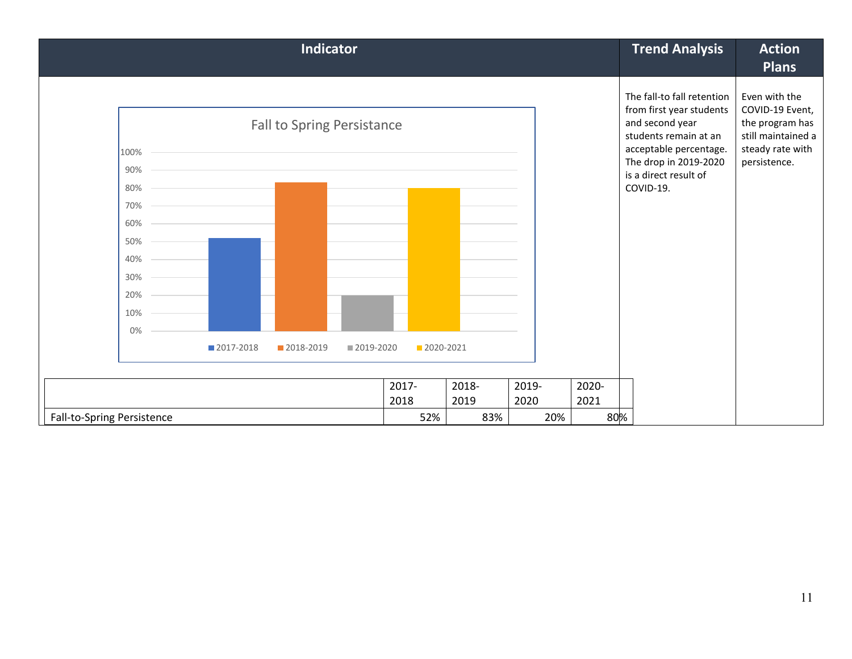| <b>Indicator</b>                                                                                                                                                                                                                                         |               |               |               |               | <b>Trend Analysis</b>                                                                                                                                                                       | <b>Action</b><br><b>Plans</b>                                                                                 |
|----------------------------------------------------------------------------------------------------------------------------------------------------------------------------------------------------------------------------------------------------------|---------------|---------------|---------------|---------------|---------------------------------------------------------------------------------------------------------------------------------------------------------------------------------------------|---------------------------------------------------------------------------------------------------------------|
| <b>Fall to Spring Persistance</b><br>100%<br><u> 1989 - Johann Stoff, amerikansk politiker (d. 1989)</u><br>$90\%$ –<br>$80\%$<br>70% –<br>$60\%$ -<br>$50\%$ –<br>$40\%$ –<br>30%<br>$20\%$ –<br>$10\%$ —<br>0%<br>■2017-2018<br>2018-2019<br>2019-2020 | 2020-2021     |               |               |               | The fall-to fall retention<br>from first year students<br>and second year<br>students remain at an<br>acceptable percentage.<br>The drop in 2019-2020<br>is a direct result of<br>COVID-19. | Even with the<br>COVID-19 Event,<br>the program has<br>still maintained a<br>steady rate with<br>persistence. |
|                                                                                                                                                                                                                                                          |               |               |               |               |                                                                                                                                                                                             |                                                                                                               |
|                                                                                                                                                                                                                                                          | 2017-<br>2018 | 2018-<br>2019 | 2019-<br>2020 | 2020-<br>2021 |                                                                                                                                                                                             |                                                                                                               |
| Fall-to-Spring Persistence                                                                                                                                                                                                                               | 52%           | 83%           | 20%           | 80%           |                                                                                                                                                                                             |                                                                                                               |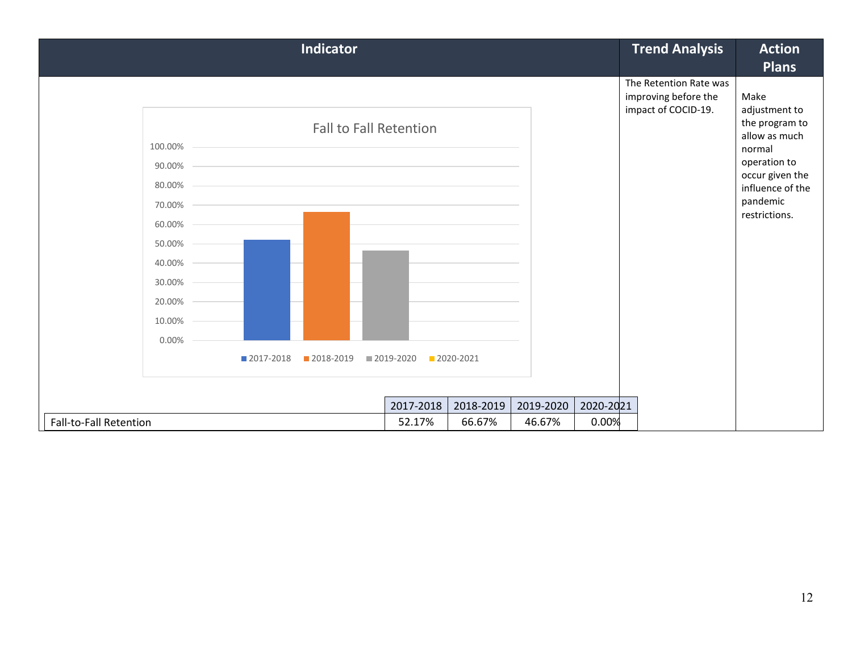|                               |                                    | <b>Indicator</b>                                                                                                                                                                                                |             |             |           |           | <b>Trend Analysis</b>                                                 | <b>Action</b>                                                                                                                         |
|-------------------------------|------------------------------------|-----------------------------------------------------------------------------------------------------------------------------------------------------------------------------------------------------------------|-------------|-------------|-----------|-----------|-----------------------------------------------------------------------|---------------------------------------------------------------------------------------------------------------------------------------|
|                               |                                    |                                                                                                                                                                                                                 |             |             |           |           |                                                                       | <b>Plans</b>                                                                                                                          |
|                               | $100.00\%$ –<br>90.00%<br>80.00% - | <b>Fall to Fall Retention</b><br><u> 1989 - Johann Stoff, amerikansk politiker (d. 1989)</u><br>the contract of the contract of the contract of the contract of the contract of the contract of the contract of |             |             |           |           | The Retention Rate was<br>improving before the<br>impact of COCID-19. | Make<br>adjustment to<br>the program to<br>allow as much<br>normal<br>operation to<br>occur given the<br>influence of the<br>pandemic |
|                               | 70.00%<br>$60.00\%$ -              |                                                                                                                                                                                                                 |             |             |           |           |                                                                       | restrictions.                                                                                                                         |
|                               | $50.00\%$ –                        |                                                                                                                                                                                                                 |             |             |           |           |                                                                       |                                                                                                                                       |
|                               | 40.00%                             |                                                                                                                                                                                                                 |             |             |           |           |                                                                       |                                                                                                                                       |
|                               | 30.00%                             |                                                                                                                                                                                                                 |             |             |           |           |                                                                       |                                                                                                                                       |
|                               | 20.00%                             |                                                                                                                                                                                                                 |             |             |           |           |                                                                       |                                                                                                                                       |
|                               | 10.00%                             |                                                                                                                                                                                                                 |             |             |           |           |                                                                       |                                                                                                                                       |
|                               | 0.00%                              |                                                                                                                                                                                                                 |             |             |           |           |                                                                       |                                                                                                                                       |
|                               | 2017-2018                          | ■ 2018-2019                                                                                                                                                                                                     | ■ 2019-2020 | ■ 2020-2021 |           |           |                                                                       |                                                                                                                                       |
|                               |                                    |                                                                                                                                                                                                                 |             |             |           |           |                                                                       |                                                                                                                                       |
|                               |                                    |                                                                                                                                                                                                                 | 2017-2018   | 2018-2019   | 2019-2020 | 2020-2021 |                                                                       |                                                                                                                                       |
| <b>Fall-to-Fall Retention</b> |                                    |                                                                                                                                                                                                                 | 52.17%      | 66.67%      | 46.67%    | 0.00%     |                                                                       |                                                                                                                                       |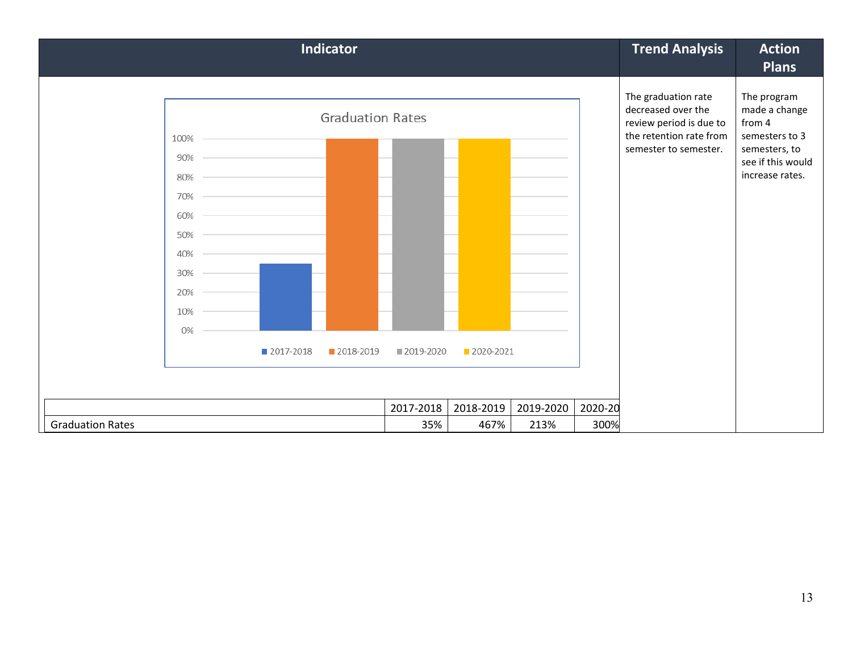